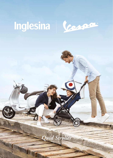

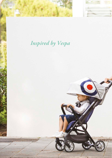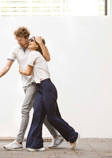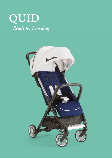

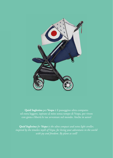

**Quid Inglesina** per **Vespa** è il passeggino ultra compatto ed extra leggero, ispirato al mito senza tempo di Vespa, per vivere con gioia e libertà le tue avventure nel mondo. Anche in aereo!

*Quid Inglesina for Vespa is the ultra compact and extra light stroller, inspired by the timeless myth of Vespa, for living your adventures in the world*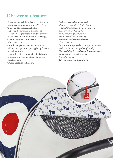## **Discover our features**

- *•* **Capotta estensibile** full cover realizzata in tessuto con trattamento anti-UV, UPF 50+
- *•* **Finestra di aerazione** sul retro capotta, che favorisce la circolazione dell'aria nelle giornate più calde e permette di osservare il bambino mentre si passeggia
- *•* **Seduta ampia e confortevole** (30x21x41 cm)
- *•* **Ampio e capiente cestino** con profilo rifrangente, garantisce passeggiate più sicure a qualunque ora
- *•* Una volta chiuso **rimane in piedi da solo** evitando che l'impugnatura ed il tessuto tocchino terra
- *•* **Facile apertura e chiusura**
- *• Full cover extending hood made of anti-UV treated, UPF 50+ fabric*
- *• A ventilation window on the back of the hood favours the flow of air in the hottest days and lets you watch the child while strolling*
- *• Generous and comfortable seat (30x21x41 cm)*
- *• Spacious storage basket with reflective profile makes strolls safer at any time of the day*
- *• Once folded up it remains upright on its own; the handle and the fabric do not touch the ground*
- *• Easy unfolding and folding up*

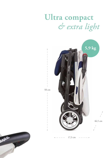## **Ultra compact**   $$



MA